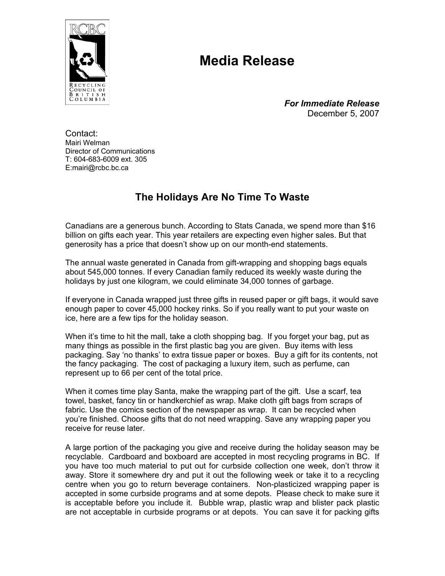

## **Media Release**

*For Immediate Release*  December 5, 2007

Contact: Mairi Welman Director of Communications T: 604-683-6009 ext. 305 E:mairi@rcbc.bc.ca

## **The Holidays Are No Time To Waste**

Canadians are a generous bunch. According to Stats Canada, we spend more than \$16 billion on gifts each year. This year retailers are expecting even higher sales. But that generosity has a price that doesn't show up on our month-end statements.

The annual waste generated in Canada from gift-wrapping and shopping bags equals about 545,000 tonnes. If every Canadian family reduced its weekly waste during the holidays by just one kilogram, we could eliminate 34,000 tonnes of garbage.

If everyone in Canada wrapped just three gifts in reused paper or gift bags, it would save enough paper to cover 45,000 hockey rinks. So if you really want to put your waste on ice, here are a few tips for the holiday season.

When it's time to hit the mall, take a cloth shopping bag. If you forget your bag, put as many things as possible in the first plastic bag you are given. Buy items with less packaging. Say 'no thanks' to extra tissue paper or boxes. Buy a gift for its contents, not the fancy packaging. The cost of packaging a luxury item, such as perfume, can represent up to 66 per cent of the total price.

When it comes time play Santa, make the wrapping part of the gift. Use a scarf, tea towel, basket, fancy tin or handkerchief as wrap. Make cloth gift bags from scraps of fabric. Use the comics section of the newspaper as wrap. It can be recycled when you're finished. Choose gifts that do not need wrapping. Save any wrapping paper you receive for reuse later.

A large portion of the packaging you give and receive during the holiday season may be recyclable. Cardboard and boxboard are accepted in most recycling programs in BC. If you have too much material to put out for curbside collection one week, don't throw it away. Store it somewhere dry and put it out the following week or take it to a recycling centre when you go to return beverage containers. Non-plasticized wrapping paper is accepted in some curbside programs and at some depots. Please check to make sure it is acceptable before you include it. Bubble wrap, plastic wrap and blister pack plastic are not acceptable in curbside programs or at depots. You can save it for packing gifts